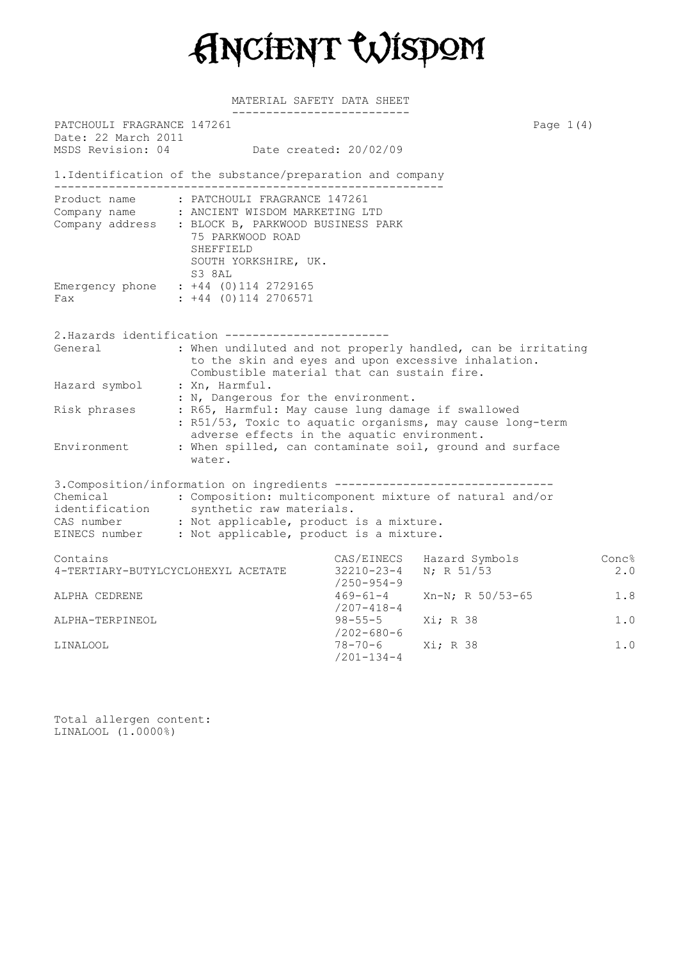

MATERIAL SAFETY DATA SHEET

|                                                   | ---------------------------                                                                                                                                                                                                                                                      |                                           |                                            |                     |
|---------------------------------------------------|----------------------------------------------------------------------------------------------------------------------------------------------------------------------------------------------------------------------------------------------------------------------------------|-------------------------------------------|--------------------------------------------|---------------------|
| PATCHOULI FRAGRANCE 147261<br>Date: 22 March 2011 |                                                                                                                                                                                                                                                                                  |                                           |                                            | Page $1(4)$         |
| MSDS Revision: 04                                 | Date created: 20/02/09                                                                                                                                                                                                                                                           |                                           |                                            |                     |
|                                                   | 1. Identification of the substance/preparation and company<br>____________________                                                                                                                                                                                               |                                           |                                            |                     |
|                                                   | Product name : PATCHOULI FRAGRANCE 147261<br>Company name : ANCIENT WISDOM MARKETING LTD<br>Company address : BLOCK B, PARKWOOD BUSINESS PARK<br>75 PARKWOOD ROAD<br>SHEFFIELD<br>SOUTH YORKSHIRE, UK.<br>S3 8AL                                                                 |                                           |                                            |                     |
| Fax                                               | Emergency phone : +44 (0)114 2729165<br>$: +44$ (0) 114 2706571                                                                                                                                                                                                                  |                                           |                                            |                     |
|                                                   | 2. Hazards identification -----------------------                                                                                                                                                                                                                                |                                           |                                            |                     |
| General                                           | : When undiluted and not properly handled, can be irritating<br>to the skin and eyes and upon excessive inhalation.<br>Combustible material that can sustain fire.                                                                                                               |                                           |                                            |                     |
| Hazard symbol                                     | : Xn, Harmful.<br>: N, Dangerous for the environment.                                                                                                                                                                                                                            |                                           |                                            |                     |
| Risk phrases                                      | : R65, Harmful: May cause lung damage if swallowed<br>: R51/53, Toxic to aquatic organisms, may cause long-term<br>adverse effects in the aquatic environment.                                                                                                                   |                                           |                                            |                     |
| Environment                                       | : When spilled, can contaminate soil, ground and surface<br>water.                                                                                                                                                                                                               |                                           |                                            |                     |
| Chemical<br>identification                        | 3. Composition/information on ingredients --------------------------------<br>: Composition: multicomponent mixture of natural and/or<br>synthetic raw materials.<br>CAS number : Not applicable, product is a mixture.<br>EINECS number : Not applicable, product is a mixture. |                                           |                                            |                     |
| Contains<br>4-TERTIARY-BUTYLCYCLOHEXYL ACETATE    |                                                                                                                                                                                                                                                                                  | $32210 - 23 - 4$                          | CAS/EINECS Hazard Symbols<br>$N$ ; R 51/53 | <b>Conc?</b><br>2.0 |
| ALPHA CEDRENE                                     |                                                                                                                                                                                                                                                                                  | $/250 - 954 - 9$<br>$469 - 61 - 4$        | $Xn-N$ ; R 50/53-65                        | 1.8                 |
| ALPHA-TERPINEOL                                   |                                                                                                                                                                                                                                                                                  | /207-418-4<br>$98 - 55 - 5$<br>/202-680-6 | Xi; R 38                                   | 1.0                 |
| LINALOOL                                          |                                                                                                                                                                                                                                                                                  | $78 - 70 - 6$<br>$/201 - 134 - 4$         | Xi; R 38                                   | 1.0                 |

Total allergen content: LINALOOL (1.0000%)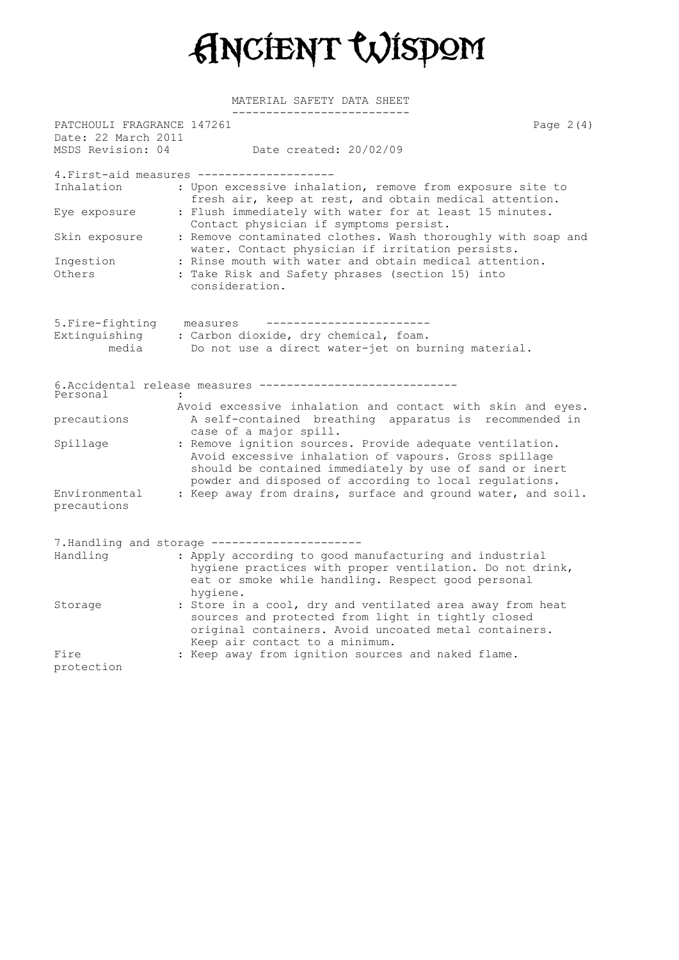

MATERIAL SAFETY DATA SHEET

| PATCHOULI FRAGRANCE 147261<br>Date: 22 March 2011 |                                                                                                                                                                                                                                        | Page $2(4)$ |
|---------------------------------------------------|----------------------------------------------------------------------------------------------------------------------------------------------------------------------------------------------------------------------------------------|-------------|
| MSDS Revision: 04                                 | Date created: 20/02/09                                                                                                                                                                                                                 |             |
|                                                   | 4. First-aid measures -------------------                                                                                                                                                                                              |             |
| Inhalation                                        | : Upon excessive inhalation, remove from exposure site to<br>fresh air, keep at rest, and obtain medical attention.                                                                                                                    |             |
| Eye exposure                                      | : Flush immediately with water for at least 15 minutes.<br>Contact physician if symptoms persist.                                                                                                                                      |             |
| Skin exposure                                     | : Remove contaminated clothes. Wash thoroughly with soap and<br>water. Contact physician if irritation persists.                                                                                                                       |             |
| Ingestion<br>Others                               | : Rinse mouth with water and obtain medical attention.<br>: Take Risk and Safety phrases (section 15) into<br>consideration.                                                                                                           |             |
| 5. Fire-fighting                                  | measures                                                                                                                                                                                                                               |             |
| Extinguishing                                     | : Carbon dioxide, dry chemical, foam.                                                                                                                                                                                                  |             |
| media                                             | Do not use a direct water-jet on burning material.                                                                                                                                                                                     |             |
|                                                   | 6. Accidental release measures ----------------------------                                                                                                                                                                            |             |
| Personal                                          | Avoid excessive inhalation and contact with skin and eyes.                                                                                                                                                                             |             |
| precautions                                       | A self-contained breathing apparatus is recommended in<br>case of a major spill.                                                                                                                                                       |             |
| Spillage                                          | : Remove ignition sources. Provide adequate ventilation.<br>Avoid excessive inhalation of vapours. Gross spillage<br>should be contained immediately by use of sand or inert<br>powder and disposed of according to local regulations. |             |
| Environmental<br>precautions                      | : Keep away from drains, surface and ground water, and soil.                                                                                                                                                                           |             |
|                                                   | 7. Handling and storage ----------------------                                                                                                                                                                                         |             |
| Handling                                          | : Apply according to good manufacturing and industrial<br>hygiene practices with proper ventilation. Do not drink,<br>eat or smoke while handling. Respect good personal<br>hygiene.                                                   |             |
| Storage                                           | : Store in a cool, dry and ventilated area away from heat<br>sources and protected from light in tightly closed<br>original containers. Avoid uncoated metal containers.<br>Keep air contact to a minimum.                             |             |
| Fire<br>protection                                | : Keep away from ignition sources and naked flame.                                                                                                                                                                                     |             |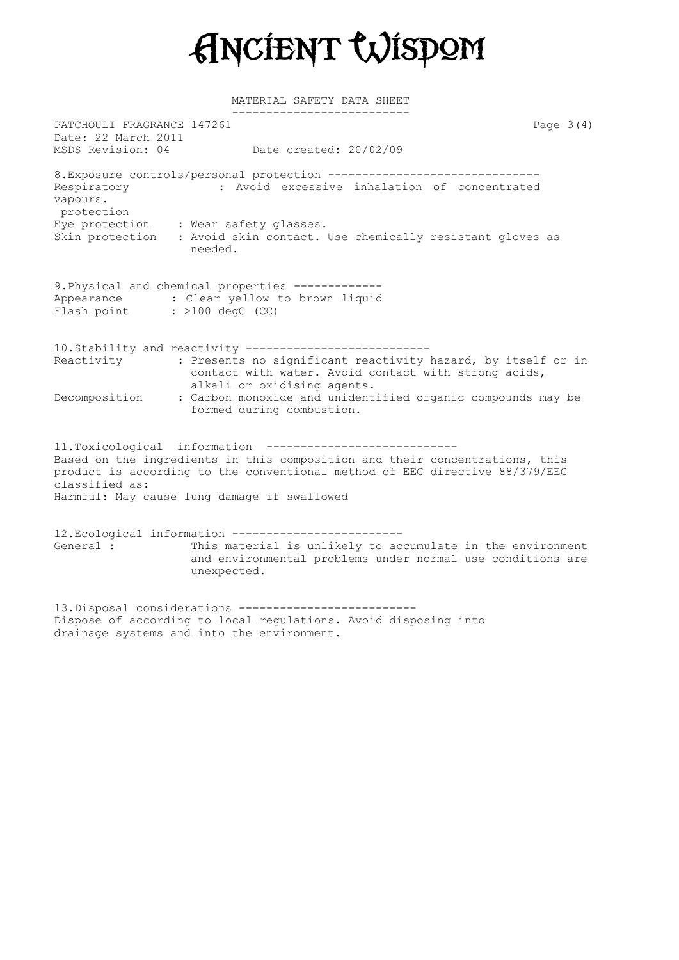

MATERIAL SAFETY DATA SHEET

-------------------------- PATCHOULI FRAGRANCE 147261 Page 3(4) Date: 22 March 2011 MSDS Revision: 04 Date created: 20/02/09 8. Exposure controls/personal protection --------------------------------Respiratory : Avoid excessive inhalation of concentrated vapours. protection Eye protection : Wear safety glasses. Skin protection : Avoid skin contact. Use chemically resistant gloves as needed. 9.Physical and chemical properties ------------- Appearance : Clear yellow to brown liquid Flash point : >100 degC (CC) 10.Stability and reactivity --------------------------- Reactivity : Presents no significant reactivity hazard, by itself or in contact with water. Avoid contact with strong acids, alkali or oxidising agents. Decomposition : Carbon monoxide and unidentified organic compounds may be formed during combustion. 11.Toxicological information ---------------------------- Based on the ingredients in this composition and their concentrations, this product is according to the conventional method of EEC directive 88/379/EEC classified as: Harmful: May cause lung damage if swallowed 12.Ecological information ------------------------- General : This material is unlikely to accumulate in the environment and environmental problems under normal use conditions are unexpected. 13.Disposal considerations --------------------------

Dispose of according to local regulations. Avoid disposing into drainage systems and into the environment.